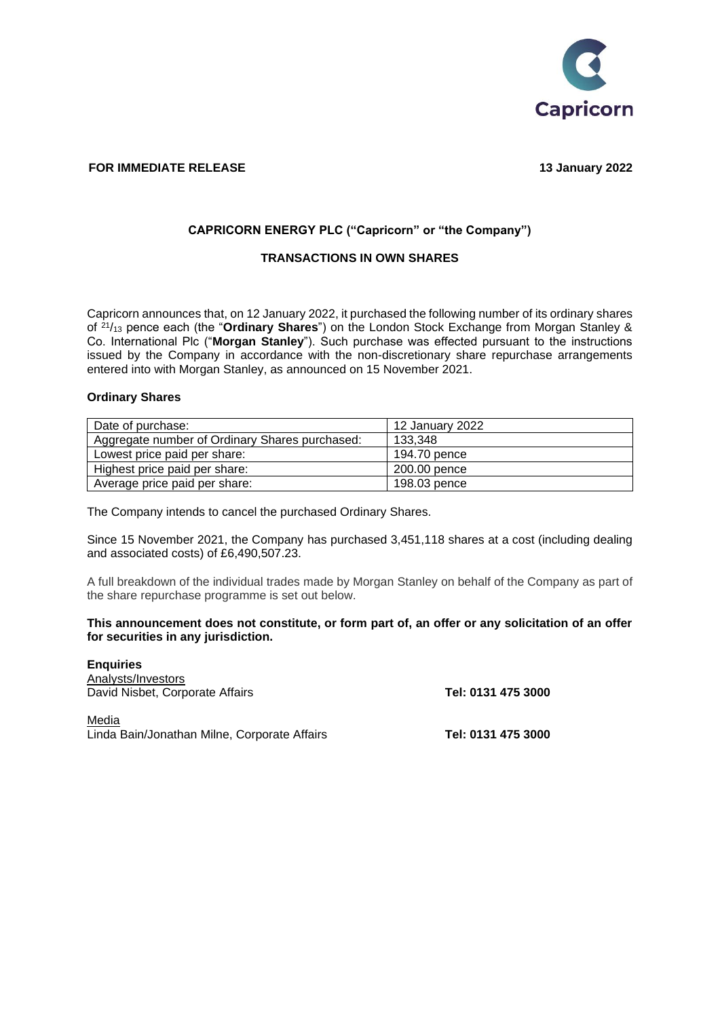

# **FOR IMMEDIATE RELEASE** 13 January 2022

### **CAPRICORN ENERGY PLC ("Capricorn" or "the Company")**

## **TRANSACTIONS IN OWN SHARES**

Capricorn announces that, on 12 January 2022, it purchased the following number of its ordinary shares of <sup>21</sup>/<sup>13</sup> pence each (the "**Ordinary Shares**") on the London Stock Exchange from Morgan Stanley & Co. International Plc ("**Morgan Stanley**"). Such purchase was effected pursuant to the instructions issued by the Company in accordance with the non-discretionary share repurchase arrangements entered into with Morgan Stanley, as announced on 15 November 2021.

#### **Ordinary Shares**

| Date of purchase:                              | 12 January 2022 |
|------------------------------------------------|-----------------|
| Aggregate number of Ordinary Shares purchased: | 133.348         |
| Lowest price paid per share:                   | 194.70 pence    |
| Highest price paid per share:                  | 200.00 pence    |
| Average price paid per share:                  | 198.03 pence    |

The Company intends to cancel the purchased Ordinary Shares.

Since 15 November 2021, the Company has purchased 3,451,118 shares at a cost (including dealing and associated costs) of £6,490,507.23.

A full breakdown of the individual trades made by Morgan Stanley on behalf of the Company as part of the share repurchase programme is set out below.

#### **This announcement does not constitute, or form part of, an offer or any solicitation of an offer for securities in any jurisdiction.**

**Enquiries**  Analysts/Investors David Nisbet, Corporate Affairs **Tel: 0131 475 3000** Media Linda Bain/Jonathan Milne, Corporate Affairs **Tel: 0131 475 3000**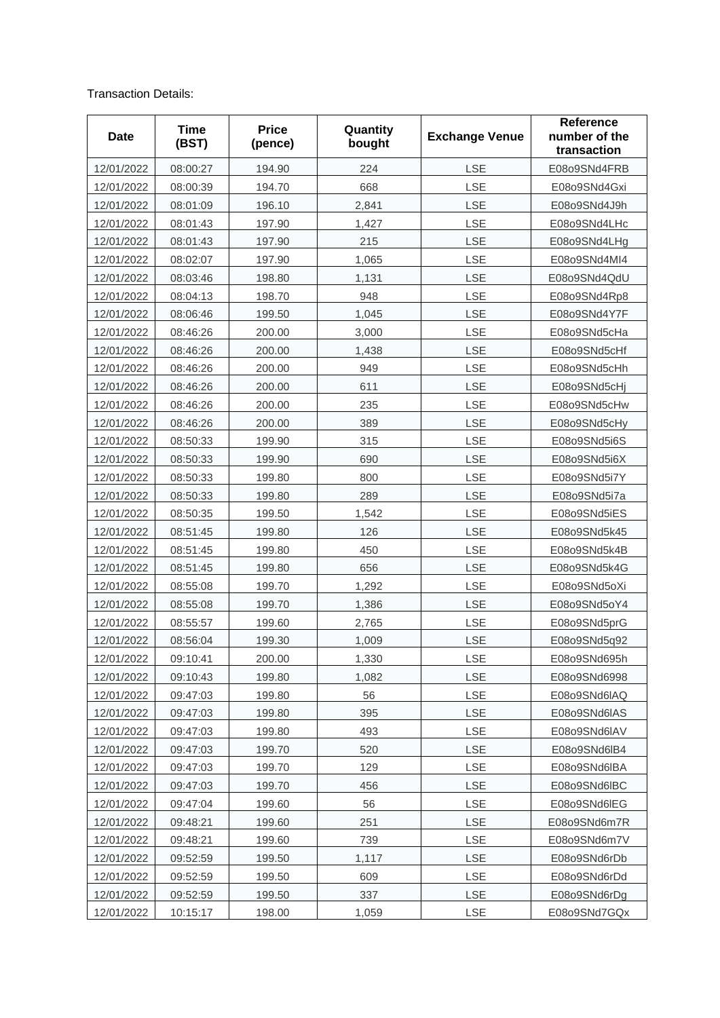## Transaction Details:

| Date       | <b>Time</b><br>(BST) | <b>Price</b><br>(pence) | Quantity<br>bought | <b>Exchange Venue</b> | <b>Reference</b><br>number of the<br>transaction |
|------------|----------------------|-------------------------|--------------------|-----------------------|--------------------------------------------------|
| 12/01/2022 | 08:00:27             | 194.90                  | 224                | LSE                   | E08o9SNd4FRB                                     |
| 12/01/2022 | 08:00:39             | 194.70                  | 668                | LSE                   | E08o9SNd4Gxi                                     |
| 12/01/2022 | 08:01:09             | 196.10                  | 2,841              | LSE                   | E08o9SNd4J9h                                     |
| 12/01/2022 | 08:01:43             | 197.90                  | 1,427              | LSE                   | E08o9SNd4LHc                                     |
| 12/01/2022 | 08:01:43             | 197.90                  | 215                | LSE                   | E08o9SNd4LHg                                     |
| 12/01/2022 | 08:02:07             | 197.90                  | 1,065              | LSE                   | E08o9SNd4MI4                                     |
| 12/01/2022 | 08:03:46             | 198.80                  | 1,131              | LSE                   | E08o9SNd4QdU                                     |
| 12/01/2022 | 08:04:13             | 198.70                  | 948                | LSE                   | E08o9SNd4Rp8                                     |
| 12/01/2022 | 08:06:46             | 199.50                  | 1,045              | LSE                   | E08o9SNd4Y7F                                     |
| 12/01/2022 | 08:46:26             | 200.00                  | 3,000              | LSE                   | E08o9SNd5cHa                                     |
| 12/01/2022 | 08:46:26             | 200.00                  | 1,438              | LSE                   | E08o9SNd5cHf                                     |
| 12/01/2022 | 08:46:26             | 200.00                  | 949                | LSE                   | E08o9SNd5cHh                                     |
| 12/01/2022 | 08:46:26             | 200.00                  | 611                | LSE                   | E08o9SNd5cHj                                     |
| 12/01/2022 | 08:46:26             | 200.00                  | 235                | LSE                   | E08o9SNd5cHw                                     |
| 12/01/2022 | 08:46:26             | 200.00                  | 389                | LSE                   | E08o9SNd5cHy                                     |
| 12/01/2022 | 08:50:33             | 199.90                  | 315                | LSE                   | E08o9SNd5i6S                                     |
| 12/01/2022 | 08:50:33             | 199.90                  | 690                | LSE                   | E08o9SNd5i6X                                     |
| 12/01/2022 | 08:50:33             | 199.80                  | 800                | LSE                   | E08o9SNd5i7Y                                     |
| 12/01/2022 | 08:50:33             | 199.80                  | 289                | LSE                   | E08o9SNd5i7a                                     |
| 12/01/2022 | 08:50:35             | 199.50                  | 1,542              | LSE                   | E08o9SNd5iES                                     |
| 12/01/2022 | 08:51:45             | 199.80                  | 126                | LSE                   | E08o9SNd5k45                                     |
| 12/01/2022 | 08:51:45             | 199.80                  | 450                | LSE                   | E08o9SNd5k4B                                     |
| 12/01/2022 | 08:51:45             | 199.80                  | 656                | LSE                   | E08o9SNd5k4G                                     |
| 12/01/2022 | 08:55:08             | 199.70                  | 1,292              | LSE                   | E08o9SNd5oXi                                     |
| 12/01/2022 | 08:55:08             | 199.70                  | 1,386              | LSE                   | E08o9SNd5oY4                                     |
| 12/01/2022 | 08:55:57             | 199.60                  | 2,765              | LSE                   | E08o9SNd5prG                                     |
| 12/01/2022 | 08:56:04             | 199.30                  | 1,009              | LSE                   | E08o9SNd5q92                                     |
| 12/01/2022 | 09:10:41             | 200.00                  | 1,330              | LSE                   | E08o9SNd695h                                     |
| 12/01/2022 | 09:10:43             | 199.80                  | 1,082              | LSE                   | E08o9SNd6998                                     |
| 12/01/2022 | 09:47:03             | 199.80                  | 56                 | LSE                   | E08o9SNd6IAQ                                     |
| 12/01/2022 | 09:47:03             | 199.80                  | 395                | LSE                   | E08o9SNd6IAS                                     |
| 12/01/2022 | 09:47:03             | 199.80                  | 493                | LSE                   | E08o9SNd6IAV                                     |
| 12/01/2022 | 09:47:03             | 199.70                  | 520                | LSE                   | E08o9SNd6lB4                                     |
| 12/01/2022 | 09:47:03             | 199.70                  | 129                | LSE                   | E08o9SNd6lBA                                     |
| 12/01/2022 | 09:47:03             | 199.70                  | 456                | LSE                   | E08o9SNd6IBC                                     |
| 12/01/2022 | 09:47:04             | 199.60                  | 56                 | LSE                   | E08o9SNd6IEG                                     |
| 12/01/2022 | 09:48:21             | 199.60                  | 251                | LSE                   | E08o9SNd6m7R                                     |
| 12/01/2022 | 09:48:21             | 199.60                  | 739                | LSE                   | E08o9SNd6m7V                                     |
| 12/01/2022 | 09:52:59             | 199.50                  | 1,117              | LSE                   | E08o9SNd6rDb                                     |
| 12/01/2022 | 09:52:59             | 199.50                  | 609                | LSE                   | E08o9SNd6rDd                                     |
| 12/01/2022 | 09:52:59             | 199.50                  | 337                | LSE                   | E08o9SNd6rDg                                     |
| 12/01/2022 | 10:15:17             | 198.00                  | 1,059              | LSE                   | E08o9SNd7GQx                                     |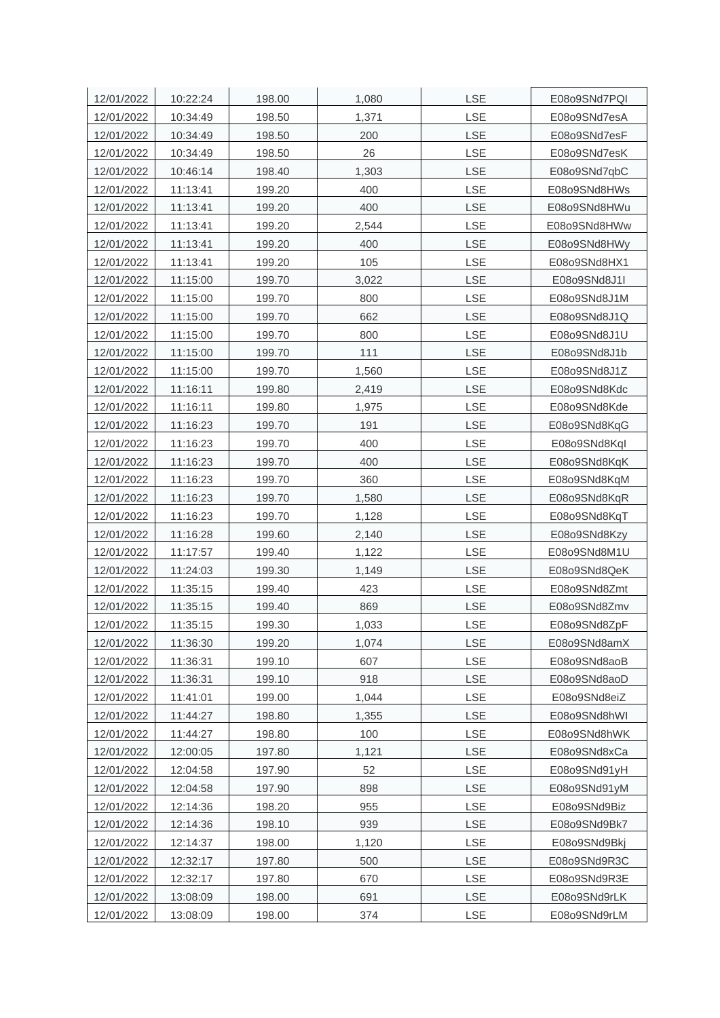| 12/01/2022 | 10:22:24 | 198.00 | 1,080 | <b>LSE</b> | E08o9SNd7PQI |
|------------|----------|--------|-------|------------|--------------|
| 12/01/2022 | 10:34:49 | 198.50 | 1,371 | LSE        | E08o9SNd7esA |
| 12/01/2022 | 10:34:49 | 198.50 | 200   | LSE        | E08o9SNd7esF |
| 12/01/2022 | 10:34:49 | 198.50 | 26    | LSE        | E08o9SNd7esK |
| 12/01/2022 | 10:46:14 | 198.40 | 1,303 | LSE        | E08o9SNd7qbC |
| 12/01/2022 | 11:13:41 | 199.20 | 400   | LSE        | E08o9SNd8HWs |
| 12/01/2022 | 11:13:41 | 199.20 | 400   | LSE        | E08o9SNd8HWu |
| 12/01/2022 | 11:13:41 | 199.20 | 2,544 | LSE        | E08o9SNd8HWw |
| 12/01/2022 | 11:13:41 | 199.20 | 400   | LSE        | E08o9SNd8HWy |
| 12/01/2022 | 11:13:41 | 199.20 | 105   | <b>LSE</b> | E08o9SNd8HX1 |
| 12/01/2022 | 11:15:00 | 199.70 | 3,022 | LSE        | E08o9SNd8J1I |
| 12/01/2022 | 11:15:00 | 199.70 | 800   | LSE        | E08o9SNd8J1M |
| 12/01/2022 | 11:15:00 | 199.70 | 662   | LSE        | E08o9SNd8J1Q |
| 12/01/2022 | 11:15:00 | 199.70 | 800   | LSE        | E08o9SNd8J1U |
| 12/01/2022 | 11:15:00 | 199.70 | 111   | LSE        | E08o9SNd8J1b |
| 12/01/2022 | 11:15:00 | 199.70 | 1,560 | LSE        | E08o9SNd8J1Z |
| 12/01/2022 | 11:16:11 | 199.80 | 2,419 | LSE        | E08o9SNd8Kdc |
| 12/01/2022 | 11:16:11 | 199.80 | 1,975 | <b>LSE</b> | E08o9SNd8Kde |
| 12/01/2022 | 11:16:23 | 199.70 | 191   | LSE        | E08o9SNd8KqG |
| 12/01/2022 | 11:16:23 | 199.70 | 400   | LSE        | E08o9SNd8KqI |
| 12/01/2022 | 11:16:23 | 199.70 | 400   | LSE        | E08o9SNd8KqK |
| 12/01/2022 | 11:16:23 | 199.70 | 360   | <b>LSE</b> | E08o9SNd8KqM |
| 12/01/2022 | 11:16:23 | 199.70 | 1,580 | LSE        | E08o9SNd8KqR |
| 12/01/2022 | 11:16:23 | 199.70 | 1,128 | LSE        | E08o9SNd8KqT |
| 12/01/2022 | 11:16:28 | 199.60 | 2,140 | LSE        | E08o9SNd8Kzy |
| 12/01/2022 | 11:17:57 | 199.40 | 1,122 | LSE        | E08o9SNd8M1U |
| 12/01/2022 | 11:24:03 | 199.30 | 1,149 | LSE        | E08o9SNd8QeK |
| 12/01/2022 | 11:35:15 | 199.40 | 423   | LSE        | E08o9SNd8Zmt |
| 12/01/2022 | 11:35:15 | 199.40 | 869   | LSE        | E08o9SNd8Zmv |
| 12/01/2022 | 11:35:15 | 199.30 | 1,033 | LSE        | E08o9SNd8ZpF |
| 12/01/2022 | 11:36:30 | 199.20 | 1,074 | LSE        | E08o9SNd8amX |
| 12/01/2022 | 11:36:31 | 199.10 | 607   | LSE        | E08o9SNd8aoB |
| 12/01/2022 | 11:36:31 | 199.10 | 918   | LSE        | E08o9SNd8aoD |
| 12/01/2022 | 11:41:01 | 199.00 | 1,044 | LSE        | E08o9SNd8eiZ |
| 12/01/2022 | 11:44:27 | 198.80 | 1,355 | LSE        | E08o9SNd8hWI |
| 12/01/2022 | 11:44:27 | 198.80 | 100   | LSE        | E08o9SNd8hWK |
| 12/01/2022 | 12:00:05 | 197.80 | 1,121 | LSE        | E08o9SNd8xCa |
| 12/01/2022 | 12:04:58 | 197.90 | 52    | <b>LSE</b> | E08o9SNd91yH |
| 12/01/2022 | 12:04:58 | 197.90 | 898   | LSE        | E08o9SNd91yM |
| 12/01/2022 | 12:14:36 | 198.20 | 955   | LSE        | E08o9SNd9Biz |
| 12/01/2022 | 12:14:36 | 198.10 | 939   | LSE        | E08o9SNd9Bk7 |
| 12/01/2022 | 12:14:37 | 198.00 | 1,120 | LSE        | E08o9SNd9Bkj |
| 12/01/2022 | 12:32:17 | 197.80 | 500   | LSE        | E08o9SNd9R3C |
| 12/01/2022 | 12:32:17 | 197.80 | 670   | LSE        | E08o9SNd9R3E |
| 12/01/2022 | 13:08:09 | 198.00 | 691   | LSE        | E08o9SNd9rLK |
| 12/01/2022 | 13:08:09 | 198.00 | 374   | LSE        | E08o9SNd9rLM |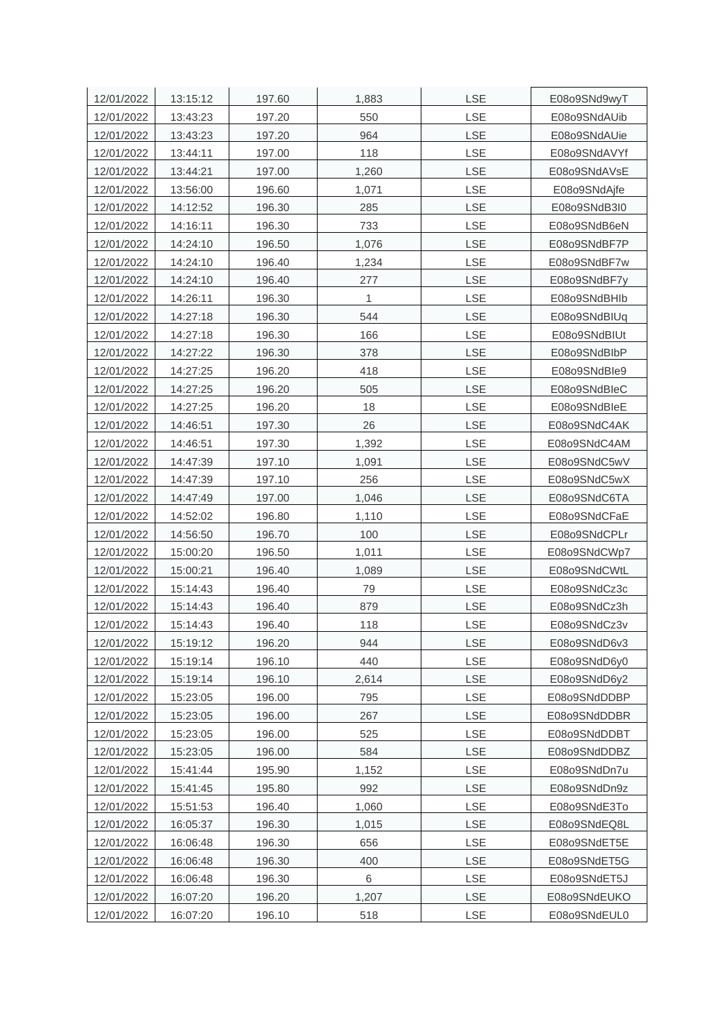| 12/01/2022 | 13:15:12 | 197.60 | 1,883 | <b>LSE</b> | E08o9SNd9wyT |
|------------|----------|--------|-------|------------|--------------|
| 12/01/2022 | 13:43:23 | 197.20 | 550   | LSE        | E08o9SNdAUib |
| 12/01/2022 | 13:43:23 | 197.20 | 964   | LSE        | E08o9SNdAUie |
| 12/01/2022 | 13:44:11 | 197.00 | 118   | LSE        | E08o9SNdAVYf |
| 12/01/2022 | 13:44:21 | 197.00 | 1,260 | LSE        | E08o9SNdAVsE |
| 12/01/2022 | 13:56:00 | 196.60 | 1,071 | <b>LSE</b> | E08o9SNdAjfe |
| 12/01/2022 | 14:12:52 | 196.30 | 285   | <b>LSE</b> | E08o9SNdB3I0 |
| 12/01/2022 | 14:16:11 | 196.30 | 733   | <b>LSE</b> | E08o9SNdB6eN |
| 12/01/2022 | 14:24:10 | 196.50 | 1,076 | LSE        | E08o9SNdBF7P |
| 12/01/2022 | 14:24:10 | 196.40 | 1,234 | <b>LSE</b> | E08o9SNdBF7w |
| 12/01/2022 | 14:24:10 | 196.40 | 277   | <b>LSE</b> | E08o9SNdBF7y |
| 12/01/2022 | 14:26:11 | 196.30 | 1     | LSE        | E08o9SNdBHlb |
| 12/01/2022 | 14:27:18 | 196.30 | 544   | LSE        | E08o9SNdBIUq |
| 12/01/2022 | 14:27:18 | 196.30 | 166   | <b>LSE</b> | E08o9SNdBIUt |
| 12/01/2022 | 14:27:22 | 196.30 | 378   | LSE        | E08o9SNdBlbP |
| 12/01/2022 | 14:27:25 | 196.20 | 418   | LSE        | E08o9SNdBle9 |
| 12/01/2022 | 14:27:25 | 196.20 | 505   | LSE        | E08o9SNdBleC |
| 12/01/2022 | 14:27:25 | 196.20 | 18    | <b>LSE</b> | E08o9SNdBleE |
| 12/01/2022 | 14:46:51 | 197.30 | 26    | <b>LSE</b> | E08o9SNdC4AK |
| 12/01/2022 | 14:46:51 | 197.30 | 1,392 | <b>LSE</b> | E08o9SNdC4AM |
| 12/01/2022 | 14:47:39 | 197.10 | 1,091 | LSE        | E08o9SNdC5wV |
| 12/01/2022 | 14:47:39 | 197.10 | 256   | <b>LSE</b> | E08o9SNdC5wX |
| 12/01/2022 | 14:47:49 | 197.00 | 1,046 | LSE        | E08o9SNdC6TA |
| 12/01/2022 | 14:52:02 | 196.80 | 1,110 | <b>LSE</b> | E08o9SNdCFaE |
| 12/01/2022 | 14:56:50 | 196.70 | 100   | LSE        | E08o9SNdCPLr |
| 12/01/2022 | 15:00:20 | 196.50 | 1,011 | LSE        | E08o9SNdCWp7 |
| 12/01/2022 | 15:00:21 | 196.40 | 1,089 | LSE        | E08o9SNdCWtL |
| 12/01/2022 | 15:14:43 | 196.40 | 79    | LSE        | E08o9SNdCz3c |
| 12/01/2022 | 15:14:43 | 196.40 | 879   | LSE        | E08o9SNdCz3h |
| 12/01/2022 | 15:14:43 | 196.40 | 118   | LSE        | E08o9SNdCz3v |
| 12/01/2022 | 15:19:12 | 196.20 | 944   | LSE        | E08o9SNdD6v3 |
| 12/01/2022 | 15:19:14 | 196.10 | 440   | LSE        | E08o9SNdD6y0 |
| 12/01/2022 | 15:19:14 | 196.10 | 2,614 | LSE        | E08o9SNdD6y2 |
| 12/01/2022 | 15:23:05 | 196.00 | 795   | LSE        | E08o9SNdDDBP |
| 12/01/2022 | 15:23:05 | 196.00 | 267   | LSE        | E08o9SNdDDBR |
| 12/01/2022 | 15:23:05 | 196.00 | 525   | LSE        | E08o9SNdDDBT |
| 12/01/2022 | 15:23:05 | 196.00 | 584   | LSE        | E08o9SNdDDBZ |
| 12/01/2022 | 15:41:44 | 195.90 | 1,152 | <b>LSE</b> | E08o9SNdDn7u |
| 12/01/2022 | 15:41:45 | 195.80 | 992   | LSE        | E08o9SNdDn9z |
| 12/01/2022 | 15:51:53 | 196.40 | 1,060 | LSE        | E08o9SNdE3To |
| 12/01/2022 | 16:05:37 | 196.30 | 1,015 | LSE        | E08o9SNdEQ8L |
| 12/01/2022 | 16:06:48 | 196.30 | 656   | LSE        | E08o9SNdET5E |
| 12/01/2022 | 16:06:48 | 196.30 | 400   | LSE        | E08o9SNdET5G |
| 12/01/2022 | 16:06:48 | 196.30 | 6     | LSE        | E08o9SNdET5J |
| 12/01/2022 | 16:07:20 | 196.20 | 1,207 | LSE        | E08o9SNdEUKO |
| 12/01/2022 | 16:07:20 | 196.10 | 518   | LSE        | E08o9SNdEUL0 |